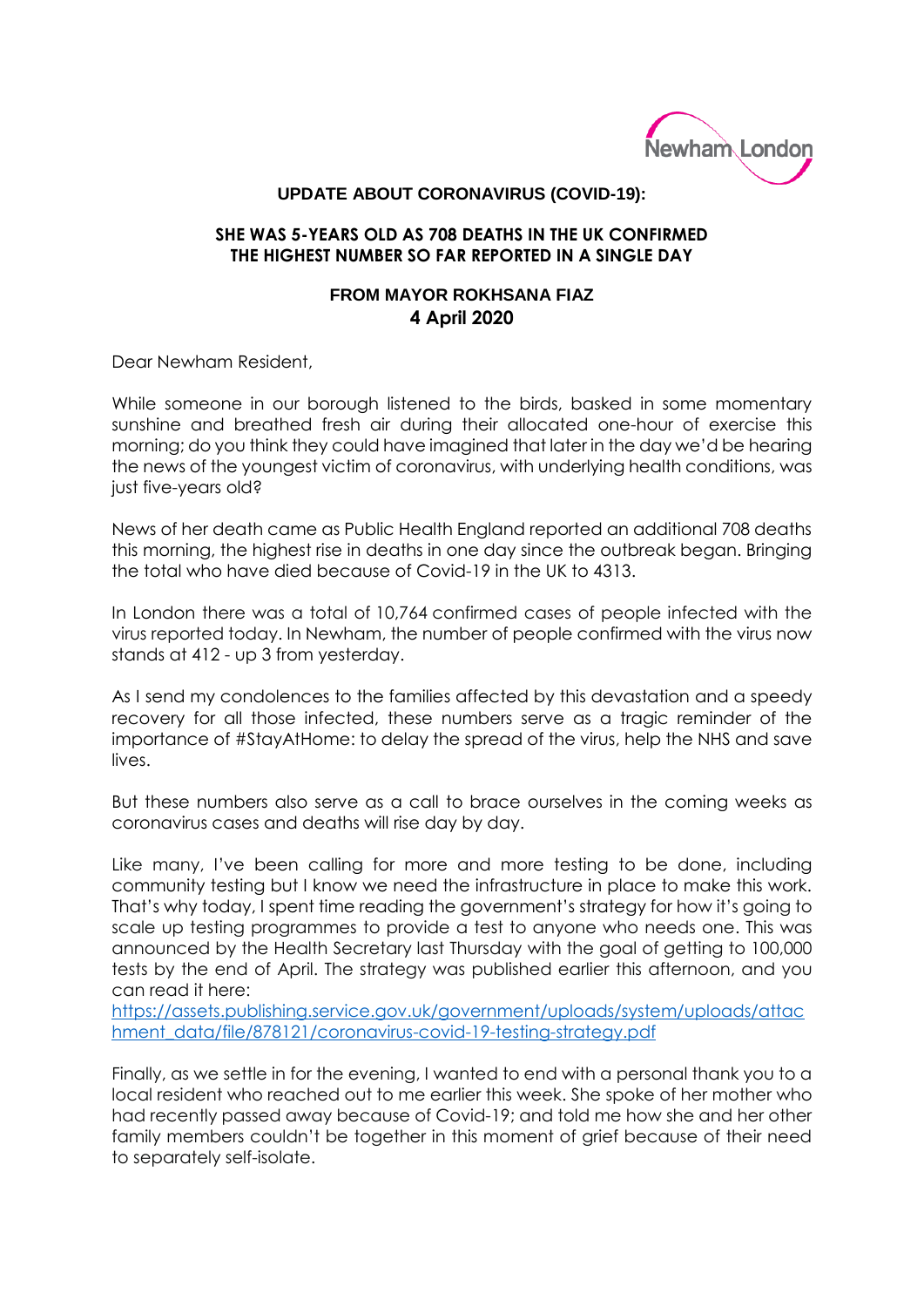

## **UPDATE ABOUT CORONAVIRUS (COVID-19):**

## **SHE WAS 5-YEARS OLD AS 708 DEATHS IN THE UK CONFIRMED THE HIGHEST NUMBER SO FAR REPORTED IN A SINGLE DAY**

## **FROM MAYOR ROKHSANA FIAZ 4 April 2020**

Dear Newham Resident,

While someone in our borough listened to the birds, basked in some momentary sunshine and breathed fresh air during their allocated one-hour of exercise this morning; do you think they could have imagined that later in the day we'd be hearing the news of the youngest victim of coronavirus, with underlying health conditions, was just five-years old?

News of her death came as Public Health England reported an additional 708 deaths this morning, the highest rise in deaths in one day since the outbreak began. Bringing the total who have died because of Covid-19 in the UK to 4313.

In London there was a total of 10,764 confirmed cases of people infected with the virus reported today. In Newham, the number of people confirmed with the virus now stands at 412 - up 3 from yesterday.

As I send my condolences to the families affected by this devastation and a speedy recovery for all those infected, these numbers serve as a tragic reminder of the importance of #StayAtHome: to delay the spread of the virus, help the NHS and save lives.

But these numbers also serve as a call to brace ourselves in the coming weeks as coronavirus cases and deaths will rise day by day.

Like many, I've been calling for more and more testing to be done, including community testing but I know we need the infrastructure in place to make this work. That's why today, I spent time reading the government's strategy for how it's going to scale up testing programmes to provide a test to anyone who needs one. This was announced by the Health Secretary last Thursday with the goal of getting to 100,000 tests by the end of April. The strategy was published earlier this afternoon, and you can read it here:

[https://assets.publishing.service.gov.uk/government/uploads/system/uploads/attac](https://assets.publishing.service.gov.uk/government/uploads/system/uploads/attachment_data/file/878121/coronavirus-covid-19-testing-strategy.pdf) [hment\\_data/file/878121/coronavirus-covid-19-testing-strategy.pdf](https://assets.publishing.service.gov.uk/government/uploads/system/uploads/attachment_data/file/878121/coronavirus-covid-19-testing-strategy.pdf)

Finally, as we settle in for the evening, I wanted to end with a personal thank you to a local resident who reached out to me earlier this week. She spoke of her mother who had recently passed away because of Covid-19; and told me how she and her other family members couldn't be together in this moment of grief because of their need to separately self-isolate.